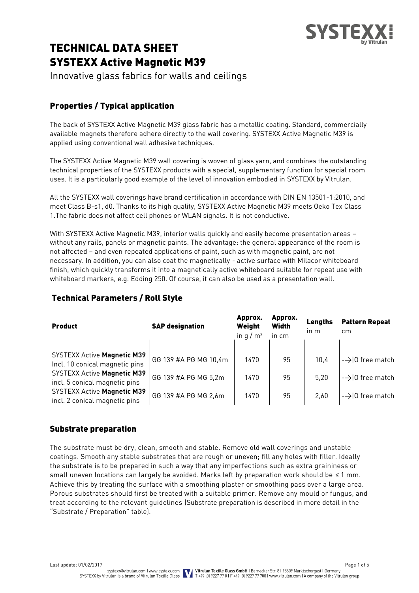

# TECHNICAL DATA SHEET SYSTEXX Active Magnetic M39

Innovative glass fabrics for walls and ceilings

# Properties / Typical application

The back of SYSTEXX Active Magnetic M39 glass fabric has a metallic coating. Standard, commercially available magnets therefore adhere directly to the wall covering. SYSTEXX Active Magnetic M39 is applied using conventional wall adhesive techniques.

The SYSTEXX Active Magnetic M39 wall covering is woven of glass yarn, and combines the outstanding technical properties of the SYSTEXX products with a special, supplementary function for special room uses. It is a particularly good example of the level of innovation embodied in SYSTEXX by Vitrulan.

All the SYSTEXX wall coverings have brand certification in accordance with DIN EN 13501-1:2010, and meet Class B-s1, d0. Thanks to its high quality, SYSTEXX Active Magnetic M39 meets Oeko Tex Class 1.The fabric does not affect cell phones or WLAN signals. It is not conductive.

With SYSTEXX Active Magnetic M39, interior walls quickly and easily become presentation areas – without any rails, panels or magnetic paints. The advantage: the general appearance of the room is not affected – and even repeated applications of paint, such as with magnetic paint, are not necessary. In addition, you can also coat the magnetically - active surface with Milacor whiteboard finish, which quickly transforms it into a magnetically active whiteboard suitable for repeat use with whiteboard markers, e.g. Edding 250. Of course, it can also be used as a presentation wall.

| <b>Product</b>                                                       | <b>SAP designation</b> | Approx.<br>Weight<br>in $q/m^2$ | Approx.<br><b>Width</b><br>in cm | Lengths<br>in m | <b>Pattern Repeat</b><br>cm |
|----------------------------------------------------------------------|------------------------|---------------------------------|----------------------------------|-----------------|-----------------------------|
| <b>SYSTEXX Active Magnetic M39</b><br>Incl. 10 conical magnetic pins | GG 139 #A PG MG 10,4m  | 1470                            | 95                               | 10.4            | $\rightarrow$ 0 free match  |
| <b>SYSTEXX Active Magnetic M39</b><br>incl. 5 conical magnetic pins  | GG 139 #A PG MG 5,2m   | 1470                            | 95                               | 5.20            | $\rightarrow$ 0 free match  |
| <b>SYSTEXX Active Magnetic M39</b><br>incl. 2 conical magnetic pins  | GG 139 #A PG MG 2,6m   | 1470                            | 95                               | 2.60            | $\rightarrow$ 0 free match  |

# Technical Parameters / Roll Style

## Substrate preparation

The substrate must be dry, clean, smooth and stable. Remove old wall coverings and unstable coatings. Smooth any stable substrates that are rough or uneven; fill any holes with filler. Ideally the substrate is to be prepared in such a way that any imperfections such as extra graininess or small uneven locations can largely be avoided. Marks left by preparation work should be ≤ 1 mm. Achieve this by treating the surface with a smoothing plaster or smoothing pass over a large area. Porous substrates should first be treated with a suitable primer. Remove any mould or fungus, and treat according to the relevant guidelines (Substrate preparation is described in more detail in the "Substrate / Preparation" table).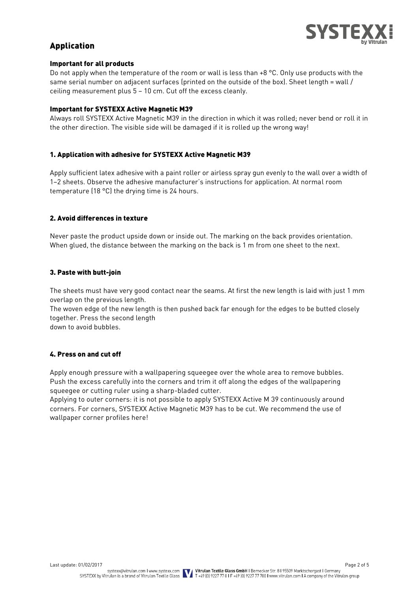

## Application

#### Important for all products

Do not apply when the temperature of the room or wall is less than +8 °C. Only use products with the same serial number on adjacent surfaces (printed on the outside of the box). Sheet length = wall / ceiling measurement plus 5 – 10 cm. Cut off the excess cleanly.

#### Important for SYSTEXX Active Magnetic M39

Always roll SYSTEXX Active Magnetic M39 in the direction in which it was rolled; never bend or roll it in the other direction. The visible side will be damaged if it is rolled up the wrong way!

#### 1. Application with adhesive for SYSTEXX Active Magnetic M39

Apply sufficient latex adhesive with a paint roller or airless spray gun evenly to the wall over a width of 1–2 sheets. Observe the adhesive manufacturer's instructions for application. At normal room temperature (18 °C) the drying time is 24 hours.

#### 2. Avoid differences in texture

Never paste the product upside down or inside out. The marking on the back provides orientation. When glued, the distance between the marking on the back is 1 m from one sheet to the next.

#### 3. Paste with butt-join

The sheets must have very good contact near the seams. At first the new length is laid with just 1 mm overlap on the previous length.

The woven edge of the new length is then pushed back far enough for the edges to be butted closely together. Press the second length

down to avoid bubbles.

#### 4. Press on and cut off

Apply enough pressure with a wallpapering squeegee over the whole area to remove bubbles. Push the excess carefully into the corners and trim it off along the edges of the wallpapering squeegee or cutting ruler using a sharp-bladed cutter.

Applying to outer corners: it is not possible to apply SYSTEXX Active M 39 continuously around corners. For corners, SYSTEXX Active Magnetic M39 has to be cut. We recommend the use of wallpaper corner profiles here!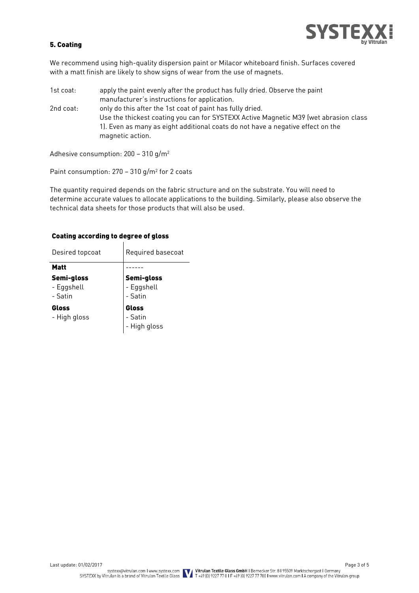

#### 5. Coating

We recommend using high-quality dispersion paint or Milacor whiteboard finish. Surfaces covered with a matt finish are likely to show signs of wear from the use of magnets.

1st coat: apply the paint evenly after the product has fully dried. Observe the paint manufacturer's instructions for application. 2nd coat: only do this after the 1st coat of paint has fully dried. Use the thickest coating you can for SYSTEXX Active Magnetic M39 (wet abrasion class 1). Even as many as eight additional coats do not have a negative effect on the magnetic action.

Adhesive consumption: 200 – 310 g/m<sup>2</sup>

Paint consumption: 270 – 310 g/m<sup>2</sup> for 2 coats

The quantity required depends on the fabric structure and on the substrate. You will need to determine accurate values to allocate applications to the building. Similarly, please also observe the technical data sheets for those products that will also be used.

#### Coating according to degree of gloss

| Desired topcoat                     | Required basecoat                   |  |  |
|-------------------------------------|-------------------------------------|--|--|
| Matt                                |                                     |  |  |
| Semi-gloss<br>- Eggshell<br>- Satin | Semi-gloss<br>- Eggshell<br>- Satin |  |  |
| Gloss<br>- High gloss               | Gloss<br>- Satin<br>- High gloss    |  |  |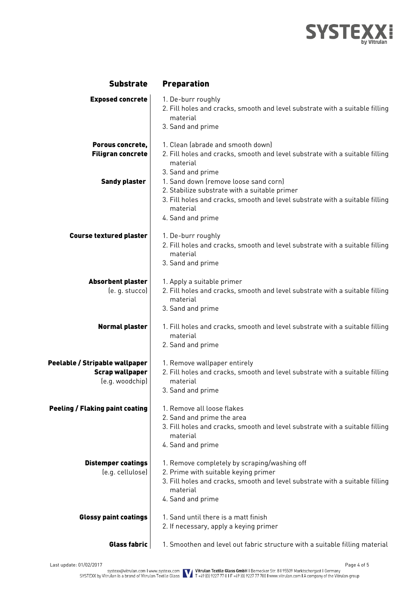

| <b>Substrate</b>                                                            | <b>Preparation</b>                                                                                                                                                                                      |
|-----------------------------------------------------------------------------|---------------------------------------------------------------------------------------------------------------------------------------------------------------------------------------------------------|
| <b>Exposed concrete</b>                                                     | 1. De-burr roughly<br>2. Fill holes and cracks, smooth and level substrate with a suitable filling<br>material<br>3. Sand and prime                                                                     |
| Porous concrete,<br><b>Filigran concrete</b>                                | 1. Clean (abrade and smooth down)<br>2. Fill holes and cracks, smooth and level substrate with a suitable filling<br>material<br>3. Sand and prime                                                      |
| <b>Sandy plaster</b>                                                        | 1. Sand down (remove loose sand corn)<br>2. Stabilize substrate with a suitable primer<br>3. Fill holes and cracks, smooth and level substrate with a suitable filling<br>material<br>4. Sand and prime |
| <b>Course textured plaster</b>                                              | 1. De-burr roughly<br>2. Fill holes and cracks, smooth and level substrate with a suitable filling<br>material<br>3. Sand and prime                                                                     |
| <b>Absorbent plaster</b><br>(e. g. stucco)                                  | 1. Apply a suitable primer<br>2. Fill holes and cracks, smooth and level substrate with a suitable filling<br>material<br>3. Sand and prime                                                             |
| <b>Normal plaster</b>                                                       | 1. Fill holes and cracks, smooth and level substrate with a suitable filling<br>material<br>2. Sand and prime                                                                                           |
| Peelable / Stripable wallpaper<br><b>Scrap wallpaper</b><br>(e.g. woodchip) | 1. Remove wallpaper entirely<br>2. Fill holes and cracks, smooth and level substrate with a suitable filling<br>material<br>3. Sand and prime                                                           |
| <b>Peeling / Flaking paint coating</b>                                      | 1. Remove all loose flakes<br>2. Sand and prime the area<br>3. Fill holes and cracks, smooth and level substrate with a suitable filling<br>material<br>4. Sand and prime                               |
| <b>Distemper coatings</b><br>(e.g. cellulose)                               | 1. Remove completely by scraping/washing off<br>2. Prime with suitable keying primer<br>3. Fill holes and cracks, smooth and level substrate with a suitable filling<br>material<br>4. Sand and prime   |
| <b>Glossy paint coatings</b>                                                | 1. Sand until there is a matt finish<br>2. If necessary, apply a keying primer                                                                                                                          |
| Glass fabric                                                                | 1. Smoothen and level out fabric structure with a suitable filling material                                                                                                                             |